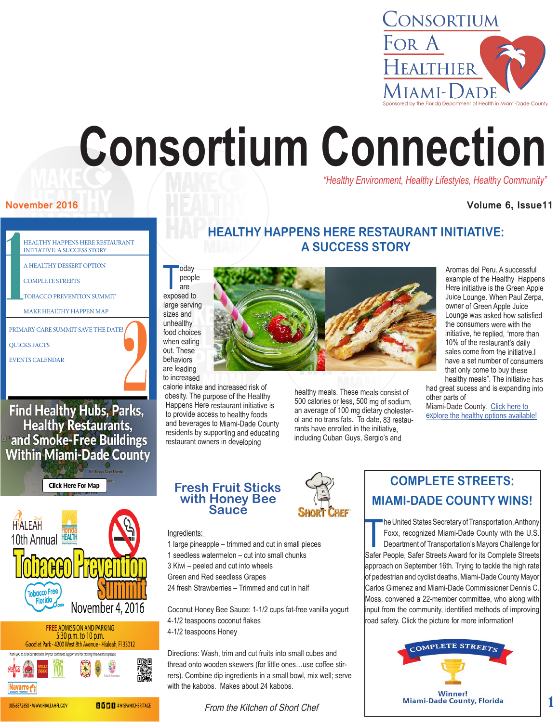

# **Consortium Connection**

*"Healthy Environment, Healthy Lifestyles, Healthy Community"*

### **November 2016 Contract of the Contract of the Contract of the Contract of the Volume 6, Issue11**

## **HEALTHY HAPPENS HERE RESTAURANT INITIATIVE: A SUCCESS STORY**

T oday people are exposed to large serving

sizes and unhealthy food choices when eating out. These behaviors are leading to increased

calorie intake and increased risk of obesity. The purpose of the Healthy Happens Here restaurant initiative is to provide access to healthy foods and beverages to Miami-Dade County residents by supporting and educating restaurant owners in developing

healthy meals. These meals consist of 500 calories or less, 500 mg of sodium, an average of 100 mg dietary cholesterol and no trans fats. To date, 83 restaurants have enrolled in the initiative, including Cuban Guys, Sergio's and

Aromas del Peru. A successful example of the Healthy Happens Here initiative is the Green Apple Juice Lounge. When Paul Zerpa, owner of Green Apple Juice Lounge was asked how satisfied the consumers were with the initiative, he replied, "more than 10% of the restaurant's daily sales come from the initiative. have a set number of consumers that only come to buy these healthy meals". The initiative has

had great sucess and is expanding into other parts of

Miami-Dade County. [Click here to](http://www.greenapplelounge.com/)  [explore the healthy options available!](http://www.greenapplelounge.com/)

# **Fresh Fruit Sticks with Honey Bee Sauce**

#### Ingredients:

- 1 large pineapple trimmed and cut in small pieces
- 1 seedless watermelon cut into small chunks
- 3 Kiwi peeled and cut into wheels
- Green and Red seedless Grapes
- 24 fresh Strawberries Trimmed and cut in half

Coconut Honey Bee Sauce: 1-1/2 cups fat-free vanilla yogurt 4-1/2 teaspoons coconut flakes 4-1/2 teaspoons Honey

Directions: Wash, trim and cut fruits into small cubes and thread onto wooden skewers (for little ones…use coffee stirrers). Combine dip ingredients in a small bowl, mix well; serve with the kabobs. Makes about 24 kabobs.

From the Kitchen of Short Chef



he United States Secretary of Transportation, Anthony<br>Foxx, recognized Miami-Dade County with the U.S.<br>Department of Transportation's Mayors Challenge for<br>Safer People, Safer Streets Award for its Complete Streets he United States Secretary of Transportation, Anthony Foxx, recognized Miami-Dade County with the U.S. Department of Transportation's Mayors Challenge for approach on September 16th. Trying to tackle the high rate of pedestrian and cyclist deaths, Miami-Dade County Mayor Carlos Gimenez and Miami-Dade Commissioner Dennis C. Moss, convened a 22-member committee, who along with input from the community, identified methods of improving road safety. Click the picture for more information!



305.687.2650 · WWW.HIALEAHFL.COV

Navarro<sub>1</sub>

## 1

MAKE HEALTHY HAPPEN MAP PRIMARY CARE SUMMIT SAVE THE DATE! QUICKS FACTS

TOBACCO PREVENTION SUMMIT

HEALTHY HAPPENS HERE RESTAURANT INITIATIVE: A SUCCESS STORY A HEALTHY DESSERT OPTION

EVENTS CALENDAR

COMPLETE STREETS

**Find Healthy Hubs, Parks,** Healthy Restaurants,<br>and Smoke-Free Buildings **Within Miami-Dade County** 



**BODB** #HISPANICHERITACE